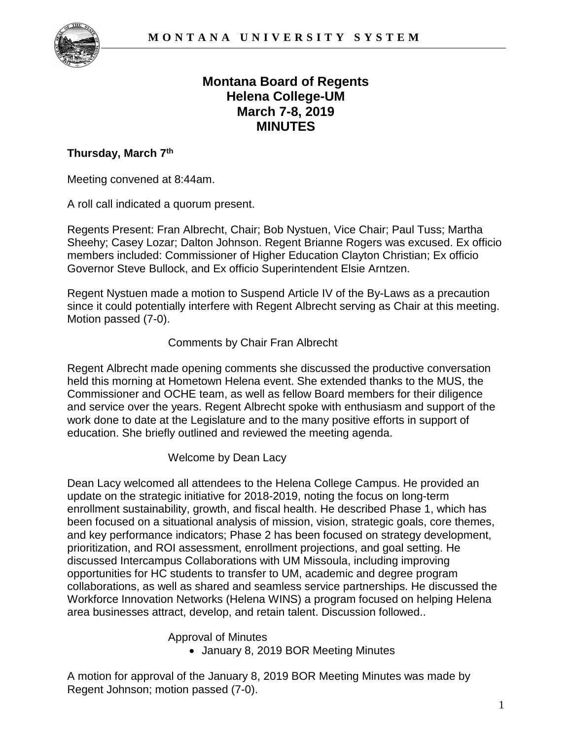

# **Montana Board of Regents Helena College-UM March 7-8, 2019 MINUTES**

### **Thursday, March 7th**

Meeting convened at 8:44am.

A roll call indicated a quorum present.

Regents Present: Fran Albrecht, Chair; Bob Nystuen, Vice Chair; Paul Tuss; Martha Sheehy; Casey Lozar; Dalton Johnson. Regent Brianne Rogers was excused. Ex officio members included: Commissioner of Higher Education Clayton Christian; Ex officio Governor Steve Bullock, and Ex officio Superintendent Elsie Arntzen.

Regent Nystuen made a motion to Suspend Article IV of the By-Laws as a precaution since it could potentially interfere with Regent Albrecht serving as Chair at this meeting. Motion passed (7-0).

#### Comments by Chair Fran Albrecht

Regent Albrecht made opening comments she discussed the productive conversation held this morning at Hometown Helena event. She extended thanks to the MUS, the Commissioner and OCHE team, as well as fellow Board members for their diligence and service over the years. Regent Albrecht spoke with enthusiasm and support of the work done to date at the Legislature and to the many positive efforts in support of education. She briefly outlined and reviewed the meeting agenda.

Welcome by Dean Lacy

Dean Lacy welcomed all attendees to the Helena College Campus. He provided an update on the strategic initiative for 2018-2019, noting the focus on long-term enrollment sustainability, growth, and fiscal health. He described Phase 1, which has been focused on a situational analysis of mission, vision, strategic goals, core themes, and key performance indicators; Phase 2 has been focused on strategy development, prioritization, and ROI assessment, enrollment projections, and goal setting. He discussed Intercampus Collaborations with UM Missoula, including improving opportunities for HC students to transfer to UM, academic and degree program collaborations, as well as shared and seamless service partnerships. He discussed the Workforce Innovation Networks (Helena WINS) a program focused on helping Helena area businesses attract, develop, and retain talent. Discussion followed..

Approval of Minutes

• January 8, 2019 BOR Meeting Minutes

A motion for approval of the January 8, 2019 BOR Meeting Minutes was made by Regent Johnson; motion passed (7-0).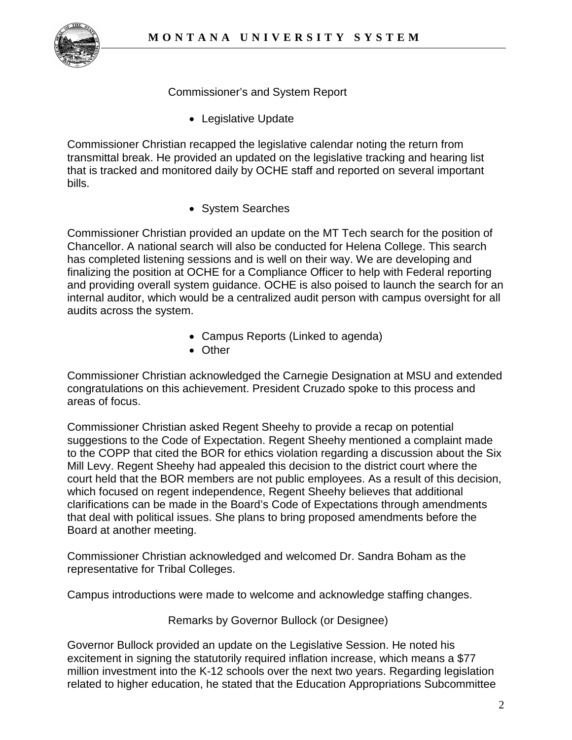

Commissioner's and System Report

• Legislative Update

Commissioner Christian recapped the legislative calendar noting the return from transmittal break. He provided an updated on the legislative tracking and hearing list that is tracked and monitored daily by OCHE staff and reported on several important bills.

• System Searches

Commissioner Christian provided an update on the MT Tech search for the position of Chancellor. A national search will also be conducted for Helena College. This search has completed listening sessions and is well on their way. We are developing and finalizing the position at OCHE for a Compliance Officer to help with Federal reporting and providing overall system guidance. OCHE is also poised to launch the search for an internal auditor, which would be a centralized audit person with campus oversight for all audits across the system.

- Campus Reports (Linked to agenda)
- Other

Commissioner Christian acknowledged the Carnegie Designation at MSU and extended congratulations on this achievement. President Cruzado spoke to this process and areas of focus.

Commissioner Christian asked Regent Sheehy to provide a recap on potential suggestions to the Code of Expectation. Regent Sheehy mentioned a complaint made to the COPP that cited the BOR for ethics violation regarding a discussion about the Six Mill Levy. Regent Sheehy had appealed this decision to the district court where the court held that the BOR members are not public employees. As a result of this decision, which focused on regent independence, Regent Sheehy believes that additional clarifications can be made in the Board's Code of Expectations through amendments that deal with political issues. She plans to bring proposed amendments before the Board at another meeting.

Commissioner Christian acknowledged and welcomed Dr. Sandra Boham as the representative for Tribal Colleges.

Campus introductions were made to welcome and acknowledge staffing changes.

Remarks by Governor Bullock (or Designee)

Governor Bullock provided an update on the Legislative Session. He noted his excitement in signing the statutorily required inflation increase, which means a \$77 million investment into the K-12 schools over the next two years. Regarding legislation related to higher education, he stated that the Education Appropriations Subcommittee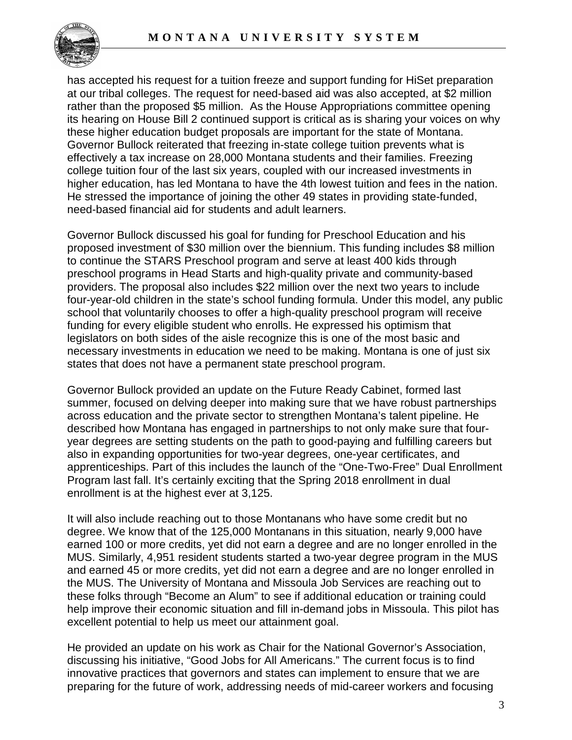

has accepted his request for a tuition freeze and support funding for HiSet preparation at our tribal colleges. The request for need-based aid was also accepted, at \$2 million rather than the proposed \$5 million. As the House Appropriations committee opening its hearing on House Bill 2 continued support is critical as is sharing your voices on why these higher education budget proposals are important for the state of Montana. Governor Bullock reiterated that freezing in-state college tuition prevents what is effectively a tax increase on 28,000 Montana students and their families. Freezing college tuition four of the last six years, coupled with our increased investments in higher education, has led Montana to have the 4th lowest tuition and fees in the nation. He stressed the importance of joining the other 49 states in providing state-funded, need-based financial aid for students and adult learners.

Governor Bullock discussed his goal for funding for Preschool Education and his proposed investment of \$30 million over the biennium. This funding includes \$8 million to continue the STARS Preschool program and serve at least 400 kids through preschool programs in Head Starts and high-quality private and community-based providers. The proposal also includes \$22 million over the next two years to include four-year-old children in the state's school funding formula. Under this model, any public school that voluntarily chooses to offer a high-quality preschool program will receive funding for every eligible student who enrolls. He expressed his optimism that legislators on both sides of the aisle recognize this is one of the most basic and necessary investments in education we need to be making. Montana is one of just six states that does not have a permanent state preschool program.

Governor Bullock provided an update on the Future Ready Cabinet, formed last summer, focused on delving deeper into making sure that we have robust partnerships across education and the private sector to strengthen Montana's talent pipeline. He described how Montana has engaged in partnerships to not only make sure that fouryear degrees are setting students on the path to good-paying and fulfilling careers but also in expanding opportunities for two-year degrees, one-year certificates, and apprenticeships. Part of this includes the launch of the "One-Two-Free" Dual Enrollment Program last fall. It's certainly exciting that the Spring 2018 enrollment in dual enrollment is at the highest ever at 3,125.

It will also include reaching out to those Montanans who have some credit but no degree. We know that of the 125,000 Montanans in this situation, nearly 9,000 have earned 100 or more credits, yet did not earn a degree and are no longer enrolled in the MUS. Similarly, 4,951 resident students started a two-year degree program in the MUS and earned 45 or more credits, yet did not earn a degree and are no longer enrolled in the MUS. The University of Montana and Missoula Job Services are reaching out to these folks through "Become an Alum" to see if additional education or training could help improve their economic situation and fill in-demand jobs in Missoula. This pilot has excellent potential to help us meet our attainment goal.

He provided an update on his work as Chair for the National Governor's Association, discussing his initiative, "Good Jobs for All Americans." The current focus is to find innovative practices that governors and states can implement to ensure that we are preparing for the future of work, addressing needs of mid-career workers and focusing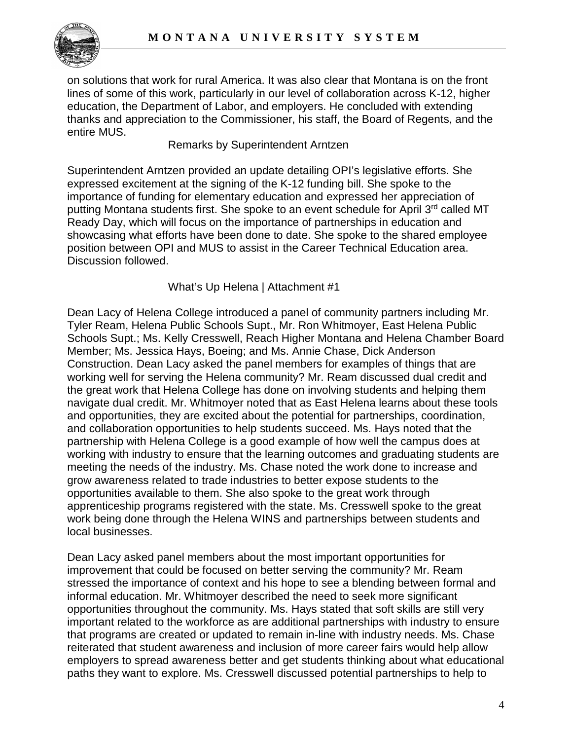

on solutions that work for rural America. It was also clear that Montana is on the front lines of some of this work, particularly in our level of collaboration across K-12, higher education, the Department of Labor, and employers. He concluded with extending thanks and appreciation to the Commissioner, his staff, the Board of Regents, and the entire MUS.

#### Remarks by Superintendent Arntzen

Superintendent Arntzen provided an update detailing OPI's legislative efforts. She expressed excitement at the signing of the K-12 funding bill. She spoke to the importance of funding for elementary education and expressed her appreciation of putting Montana students first. She spoke to an event schedule for April 3<sup>rd</sup> called MT Ready Day, which will focus on the importance of partnerships in education and showcasing what efforts have been done to date. She spoke to the shared employee position between OPI and MUS to assist in the Career Technical Education area. Discussion followed.

### What's Up Helena | Attachment #1

Dean Lacy of Helena College introduced a panel of community partners including Mr. Tyler Ream, Helena Public Schools Supt., Mr. Ron Whitmoyer, East Helena Public Schools Supt.; Ms. Kelly Cresswell, Reach Higher Montana and Helena Chamber Board Member; Ms. Jessica Hays, Boeing; and Ms. Annie Chase, Dick Anderson Construction. Dean Lacy asked the panel members for examples of things that are working well for serving the Helena community? Mr. Ream discussed dual credit and the great work that Helena College has done on involving students and helping them navigate dual credit. Mr. Whitmoyer noted that as East Helena learns about these tools and opportunities, they are excited about the potential for partnerships, coordination, and collaboration opportunities to help students succeed. Ms. Hays noted that the partnership with Helena College is a good example of how well the campus does at working with industry to ensure that the learning outcomes and graduating students are meeting the needs of the industry. Ms. Chase noted the work done to increase and grow awareness related to trade industries to better expose students to the opportunities available to them. She also spoke to the great work through apprenticeship programs registered with the state. Ms. Cresswell spoke to the great work being done through the Helena WINS and partnerships between students and local businesses.

Dean Lacy asked panel members about the most important opportunities for improvement that could be focused on better serving the community? Mr. Ream stressed the importance of context and his hope to see a blending between formal and informal education. Mr. Whitmoyer described the need to seek more significant opportunities throughout the community. Ms. Hays stated that soft skills are still very important related to the workforce as are additional partnerships with industry to ensure that programs are created or updated to remain in-line with industry needs. Ms. Chase reiterated that student awareness and inclusion of more career fairs would help allow employers to spread awareness better and get students thinking about what educational paths they want to explore. Ms. Cresswell discussed potential partnerships to help to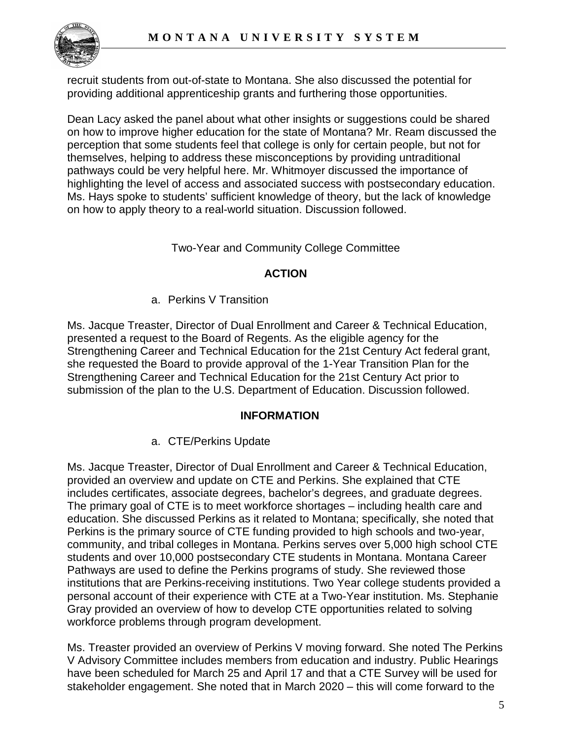

recruit students from out-of-state to Montana. She also discussed the potential for providing additional apprenticeship grants and furthering those opportunities.

Dean Lacy asked the panel about what other insights or suggestions could be shared on how to improve higher education for the state of Montana? Mr. Ream discussed the perception that some students feel that college is only for certain people, but not for themselves, helping to address these misconceptions by providing untraditional pathways could be very helpful here. Mr. Whitmoyer discussed the importance of highlighting the level of access and associated success with postsecondary education. Ms. Hays spoke to students' sufficient knowledge of theory, but the lack of knowledge on how to apply theory to a real-world situation. Discussion followed.

### Two-Year and Community College Committee

### **ACTION**

a. Perkins V Transition

Ms. Jacque Treaster, Director of Dual Enrollment and Career & Technical Education, presented a request to the Board of Regents. As the eligible agency for the Strengthening Career and Technical Education for the 21st Century Act federal grant, she requested the Board to provide approval of the 1-Year Transition Plan for the Strengthening Career and Technical Education for the 21st Century Act prior to submission of the plan to the U.S. Department of Education. Discussion followed.

### **INFORMATION**

a. CTE/Perkins Update

Ms. Jacque Treaster, Director of Dual Enrollment and Career & Technical Education, provided an overview and update on CTE and Perkins. She explained that CTE includes certificates, associate degrees, bachelor's degrees, and graduate degrees. The primary goal of CTE is to meet workforce shortages – including health care and education. She discussed Perkins as it related to Montana; specifically, she noted that Perkins is the primary source of CTE funding provided to high schools and two-year, community, and tribal colleges in Montana. Perkins serves over 5,000 high school CTE students and over 10,000 postsecondary CTE students in Montana. Montana Career Pathways are used to define the Perkins programs of study. She reviewed those institutions that are Perkins-receiving institutions. Two Year college students provided a personal account of their experience with CTE at a Two-Year institution. Ms. Stephanie Gray provided an overview of how to develop CTE opportunities related to solving workforce problems through program development.

Ms. Treaster provided an overview of Perkins V moving forward. She noted The Perkins V Advisory Committee includes members from education and industry. Public Hearings have been scheduled for March 25 and April 17 and that a CTE Survey will be used for stakeholder engagement. She noted that in March 2020 – this will come forward to the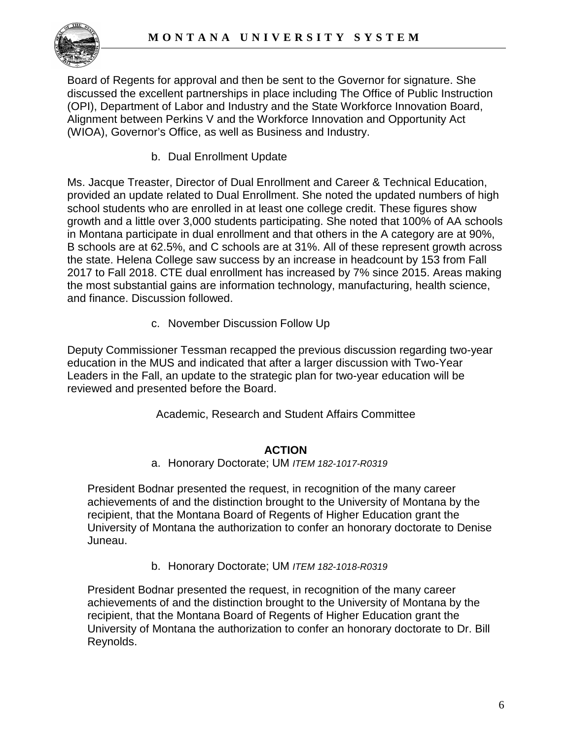

Board of Regents for approval and then be sent to the Governor for signature. She discussed the excellent partnerships in place including The Office of Public Instruction (OPI), Department of Labor and Industry and the State Workforce Innovation Board, Alignment between Perkins V and the Workforce Innovation and Opportunity Act (WIOA), Governor's Office, as well as Business and Industry.

b. Dual Enrollment Update

Ms. Jacque Treaster, Director of Dual Enrollment and Career & Technical Education, provided an update related to Dual Enrollment. She noted the updated numbers of high school students who are enrolled in at least one college credit. These figures show growth and a little over 3,000 students participating. She noted that 100% of AA schools in Montana participate in dual enrollment and that others in the A category are at 90%, B schools are at 62.5%, and C schools are at 31%. All of these represent growth across the state. Helena College saw success by an increase in headcount by 153 from Fall 2017 to Fall 2018. CTE dual enrollment has increased by 7% since 2015. Areas making the most substantial gains are information technology, manufacturing, health science, and finance. Discussion followed.

c. November Discussion Follow Up

Deputy Commissioner Tessman recapped the previous discussion regarding two-year education in the MUS and indicated that after a larger discussion with Two-Year Leaders in the Fall, an update to the strategic plan for two-year education will be reviewed and presented before the Board.

Academic, Research and Student Affairs Committee

### **ACTION**

a. Honorary Doctorate; UM *ITEM 182-1017-R0319* 

President Bodnar presented the request, in recognition of the many career achievements of and the distinction brought to the University of Montana by the recipient, that the Montana Board of Regents of Higher Education grant the University of Montana the authorization to confer an honorary doctorate to Denise Juneau.

b. Honorary Doctorate; UM *ITEM 182-1018-R0319* 

President Bodnar presented the request, in recognition of the many career achievements of and the distinction brought to the University of Montana by the recipient, that the Montana Board of Regents of Higher Education grant the University of Montana the authorization to confer an honorary doctorate to Dr. Bill Reynolds.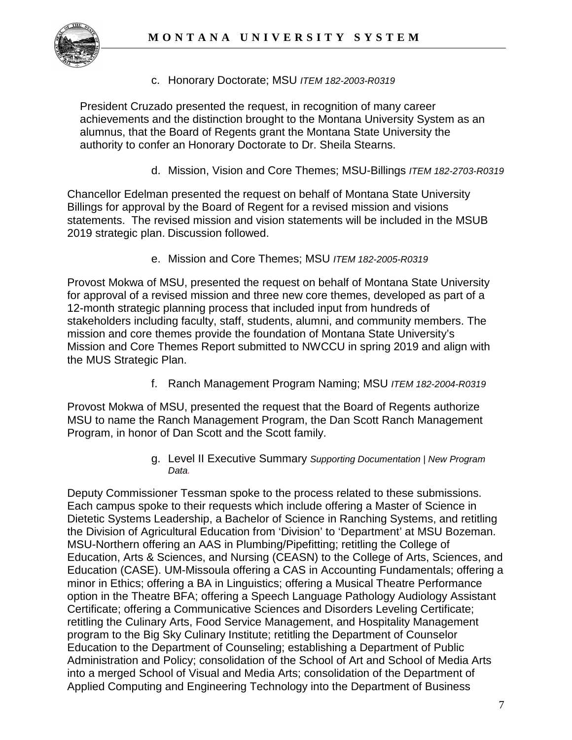

c. Honorary Doctorate; MSU *ITEM 182-2003-R0319* 

President Cruzado presented the request, in recognition of many career achievements and the distinction brought to the Montana University System as an alumnus, that the Board of Regents grant the Montana State University the authority to confer an Honorary Doctorate to Dr. Sheila Stearns.

d. Mission, Vision and Core Themes; MSU-Billings *ITEM 182-2703-R0319*

Chancellor Edelman presented the request on behalf of Montana State University Billings for approval by the Board of Regent for a revised mission and visions statements. The revised mission and vision statements will be included in the MSUB 2019 strategic plan. Discussion followed.

e. Mission and Core Themes; MSU *ITEM 182-2005-R0319*

Provost Mokwa of MSU, presented the request on behalf of Montana State University for approval of a revised mission and three new core themes, developed as part of a 12-month strategic planning process that included input from hundreds of stakeholders including faculty, staff, students, alumni, and community members. The mission and core themes provide the foundation of Montana State University's Mission and Core Themes Report submitted to NWCCU in spring 2019 and align with the MUS Strategic Plan.

f. Ranch Management Program Naming; MSU *ITEM 182-2004-R0319*

Provost Mokwa of MSU, presented the request that the Board of Regents authorize MSU to name the Ranch Management Program, the Dan Scott Ranch Management Program, in honor of Dan Scott and the Scott family.

> g. Level II Executive Summary *Supporting Documentation* | *New Program Data.*

Deputy Commissioner Tessman spoke to the process related to these submissions. Each campus spoke to their requests which include offering a Master of Science in Dietetic Systems Leadership, a Bachelor of Science in Ranching Systems, and retitling the Division of Agricultural Education from 'Division' to 'Department' at MSU Bozeman. MSU-Northern offering an AAS in Plumbing/Pipefitting; retitling the College of Education, Arts & Sciences, and Nursing (CEASN) to the College of Arts, Sciences, and Education (CASE). UM-Missoula offering a CAS in Accounting Fundamentals; offering a minor in Ethics; offering a BA in Linguistics; offering a Musical Theatre Performance option in the Theatre BFA; offering a Speech Language Pathology Audiology Assistant Certificate; offering a Communicative Sciences and Disorders Leveling Certificate; retitling the Culinary Arts, Food Service Management, and Hospitality Management program to the Big Sky Culinary Institute; retitling the Department of Counselor Education to the Department of Counseling; establishing a Department of Public Administration and Policy; consolidation of the School of Art and School of Media Arts into a merged School of Visual and Media Arts; consolidation of the Department of Applied Computing and Engineering Technology into the Department of Business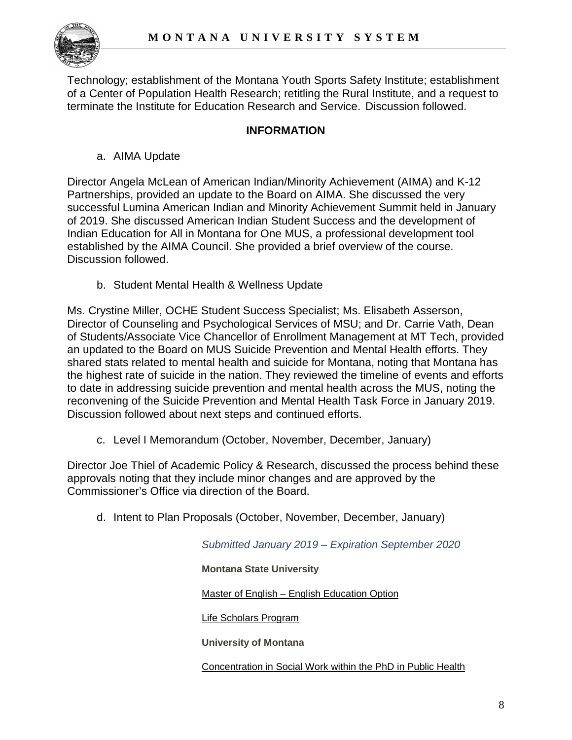

Technology; establishment of the Montana Youth Sports Safety Institute; establishment of a Center of Population Health Research; retitling the Rural Institute, and a request to terminate the Institute for Education Research and Service. Discussion followed.

### **INFORMATION**

a. AIMA Update

Director Angela McLean of American Indian/Minority Achievement (AIMA) and K-12 Partnerships, provided an update to the Board on AIMA. She discussed the very successful Lumina American Indian and Minority Achievement Summit held in January of 2019. She discussed American Indian Student Success and the development of Indian Education for All in Montana for One MUS, a professional development tool established by the AIMA Council. She provided a brief overview of the course. Discussion followed.

b. Student Mental Health & Wellness Update

Ms. Crystine Miller, OCHE Student Success Specialist; Ms. Elisabeth Asserson, Director of Counseling and Psychological Services of MSU; and Dr. Carrie Vath, Dean of Students/Associate Vice Chancellor of Enrollment Management at MT Tech, provided an updated to the Board on MUS Suicide Prevention and Mental Health efforts. They shared stats related to mental health and suicide for Montana, noting that Montana has the highest rate of suicide in the nation. They reviewed the timeline of events and efforts to date in addressing suicide prevention and mental health across the MUS, noting the reconvening of the Suicide Prevention and Mental Health Task Force in January 2019. Discussion followed about next steps and continued efforts.

c. Level I Memorandum (October, November, December, January)

Director Joe Thiel of Academic Policy & Research, discussed the process behind these approvals noting that they include minor changes and are approved by the Commissioner's Office via direction of the Board.

d. Intent to Plan Proposals (October, November, December, January)

*Submitted January 2019 – Expiration September 2020*

**Montana State University**

Master of English – [English Education Option](https://mus.edu/che/arsa/IntenttoPlan/2019/MSU_Intent-to-Plan-Master-of-English.pdf)

[Life Scholars Program](https://mus.edu/che/arsa/IntenttoPlan/2019/IntenttoPlan-LIFEScholars012019.pdf)

**University of Montana**

[Concentration in Social Work within the PhD in Public Health](https://mus.edu/che/arsa/IntenttoPlan/2019/ITP_PhDPublicHealth.pdf)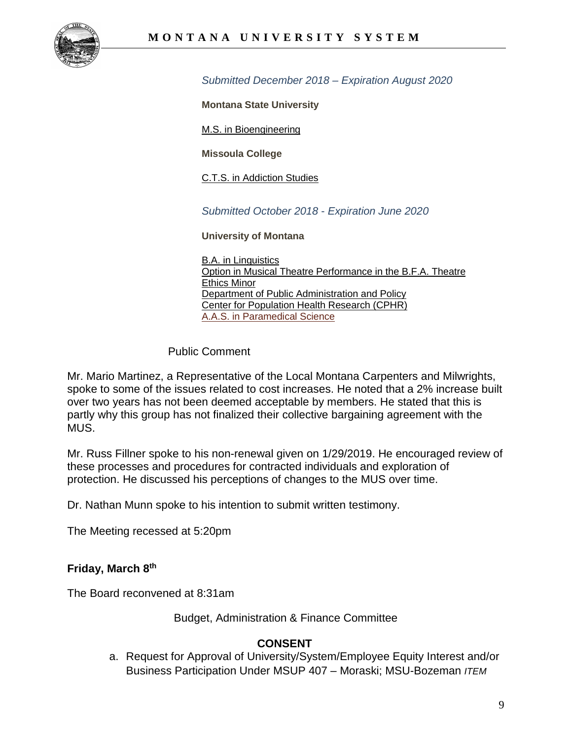

*Submitted December 2018 – Expiration August 2020*

**Montana State University**

[M.S. in Bioengineering](https://mus.edu/che/arsa/IntenttoPlan/2018/MSBIOENGIP.pdf)

**Missoula College**

[C.T.S. in Addiction Studies](https://mus.edu/che/arsa/IntenttoPlan/2018/ITP_Addiction%20Studies.pdf)

*Submitted October 2018* - *Expiration June 2020*

**University of Montana**

[B.A. in Linguistics](https://mus.edu/che/arsa/IntenttoPlan/2018/UM-ITP-Linguistics-BA.pdf) [Option in Musical Theatre Performance in the B.F.A. Theatre](https://mus.edu/che/arsa/IntenttoPlan/2018/UM-ITP-Musical-Theatre-Performance-option.pdf) [Ethics Minor](https://mus.edu/che/arsa/IntenttoPlan/2018/UM-ITP-Ethics-minor.pdf) [Department of Public Administration and Policy](https://mus.edu/che/arsa/IntenttoPlan/2018/UM-ITP-Dept-of-Public-Admin-Policy.pdf) [Center for Population Health Research \(CPHR\)](https://mus.edu/che/arsa/IntenttoPlan/2018/UM-ITP-Center-for-Population-Health-Research.pdf) [A.A.S. in Paramedical Science](https://mus.edu/che/arsa/IntenttoPlan/2018/UM-ITP-AAS-Paramedical-Science.pdf)

Public Comment

Mr. Mario Martinez, a Representative of the Local Montana Carpenters and Milwrights, spoke to some of the issues related to cost increases. He noted that a 2% increase built over two years has not been deemed acceptable by members. He stated that this is partly why this group has not finalized their collective bargaining agreement with the MUS.

Mr. Russ Fillner spoke to his non-renewal given on 1/29/2019. He encouraged review of these processes and procedures for contracted individuals and exploration of protection. He discussed his perceptions of changes to the MUS over time.

Dr. Nathan Munn spoke to his intention to submit written testimony.

The Meeting recessed at 5:20pm

#### **Friday, March 8th**

The Board reconvened at 8:31am

Budget, Administration & Finance Committee

### **CONSENT**

a. Request for Approval of University/System/Employee Equity Interest and/or Business Participation Under MSUP 407 – Moraski; MSU-Bozeman *ITEM*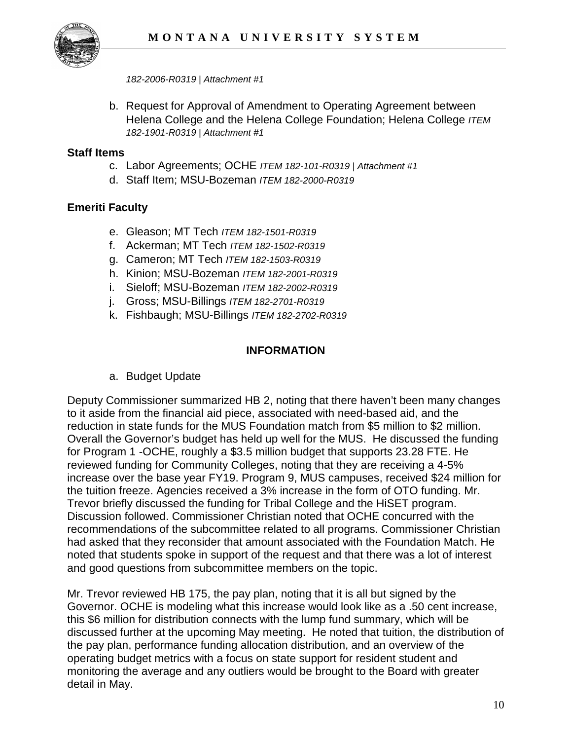

*182-2006-R0319 | Attachment #1*

b. Request for Approval of Amendment to Operating Agreement between Helena College and the Helena College Foundation; Helena College *ITEM 182-1901-R0319 | Attachment #1*

#### **Staff Items**

- c. Labor Agreements; OCHE *ITEM 182-101-R0319 | Attachment #1*
- d. Staff Item; MSU-Bozeman *ITEM 182-2000-R0319*

### **Emeriti Faculty**

- e. Gleason; MT Tech *ITEM 182-1501-R0319*
- f. Ackerman; MT Tech *ITEM 182-1502-R0319*
- g. Cameron; MT Tech *ITEM 182-1503-R0319*
- h. Kinion; MSU-Bozeman *ITEM 182-2001-R0319*
- i. Sieloff; MSU-Bozeman *ITEM 182-2002-R0319*
- j. Gross; MSU-Billings *ITEM 182-2701-R0319*
- k. Fishbaugh; MSU-Billings *ITEM 182-2702-R0319*

### **INFORMATION**

a. Budget Update

Deputy Commissioner summarized HB 2, noting that there haven't been many changes to it aside from the financial aid piece, associated with need-based aid, and the reduction in state funds for the MUS Foundation match from \$5 million to \$2 million. Overall the Governor's budget has held up well for the MUS. He discussed the funding for Program 1 -OCHE, roughly a \$3.5 million budget that supports 23.28 FTE. He reviewed funding for Community Colleges, noting that they are receiving a 4-5% increase over the base year FY19. Program 9, MUS campuses, received \$24 million for the tuition freeze. Agencies received a 3% increase in the form of OTO funding. Mr. Trevor briefly discussed the funding for Tribal College and the HiSET program. Discussion followed. Commissioner Christian noted that OCHE concurred with the recommendations of the subcommittee related to all programs. Commissioner Christian had asked that they reconsider that amount associated with the Foundation Match. He noted that students spoke in support of the request and that there was a lot of interest and good questions from subcommittee members on the topic.

Mr. Trevor reviewed HB 175, the pay plan, noting that it is all but signed by the Governor. OCHE is modeling what this increase would look like as a .50 cent increase, this \$6 million for distribution connects with the lump fund summary, which will be discussed further at the upcoming May meeting. He noted that tuition, the distribution of the pay plan, performance funding allocation distribution, and an overview of the operating budget metrics with a focus on state support for resident student and monitoring the average and any outliers would be brought to the Board with greater detail in May.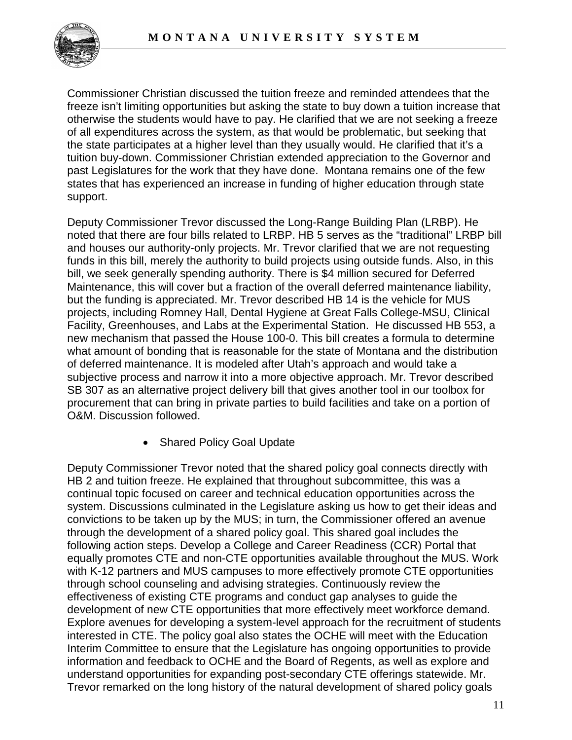

Commissioner Christian discussed the tuition freeze and reminded attendees that the freeze isn't limiting opportunities but asking the state to buy down a tuition increase that otherwise the students would have to pay. He clarified that we are not seeking a freeze of all expenditures across the system, as that would be problematic, but seeking that the state participates at a higher level than they usually would. He clarified that it's a tuition buy-down. Commissioner Christian extended appreciation to the Governor and past Legislatures for the work that they have done. Montana remains one of the few states that has experienced an increase in funding of higher education through state support.

Deputy Commissioner Trevor discussed the Long-Range Building Plan (LRBP). He noted that there are four bills related to LRBP. HB 5 serves as the "traditional" LRBP bill and houses our authority-only projects. Mr. Trevor clarified that we are not requesting funds in this bill, merely the authority to build projects using outside funds. Also, in this bill, we seek generally spending authority. There is \$4 million secured for Deferred Maintenance, this will cover but a fraction of the overall deferred maintenance liability, but the funding is appreciated. Mr. Trevor described HB 14 is the vehicle for MUS projects, including Romney Hall, Dental Hygiene at Great Falls College-MSU, Clinical Facility, Greenhouses, and Labs at the Experimental Station. He discussed HB 553, a new mechanism that passed the House 100-0. This bill creates a formula to determine what amount of bonding that is reasonable for the state of Montana and the distribution of deferred maintenance. It is modeled after Utah's approach and would take a subjective process and narrow it into a more objective approach. Mr. Trevor described SB 307 as an alternative project delivery bill that gives another tool in our toolbox for procurement that can bring in private parties to build facilities and take on a portion of O&M. Discussion followed.

• Shared Policy Goal Update

Deputy Commissioner Trevor noted that the shared policy goal connects directly with HB 2 and tuition freeze. He explained that throughout subcommittee, this was a continual topic focused on career and technical education opportunities across the system. Discussions culminated in the Legislature asking us how to get their ideas and convictions to be taken up by the MUS; in turn, the Commissioner offered an avenue through the development of a shared policy goal. This shared goal includes the following action steps. Develop a College and Career Readiness (CCR) Portal that equally promotes CTE and non-CTE opportunities available throughout the MUS. Work with K-12 partners and MUS campuses to more effectively promote CTE opportunities through school counseling and advising strategies. Continuously review the effectiveness of existing CTE programs and conduct gap analyses to guide the development of new CTE opportunities that more effectively meet workforce demand. Explore avenues for developing a system-level approach for the recruitment of students interested in CTE. The policy goal also states the OCHE will meet with the Education Interim Committee to ensure that the Legislature has ongoing opportunities to provide information and feedback to OCHE and the Board of Regents, as well as explore and understand opportunities for expanding post-secondary CTE offerings statewide. Mr. Trevor remarked on the long history of the natural development of shared policy goals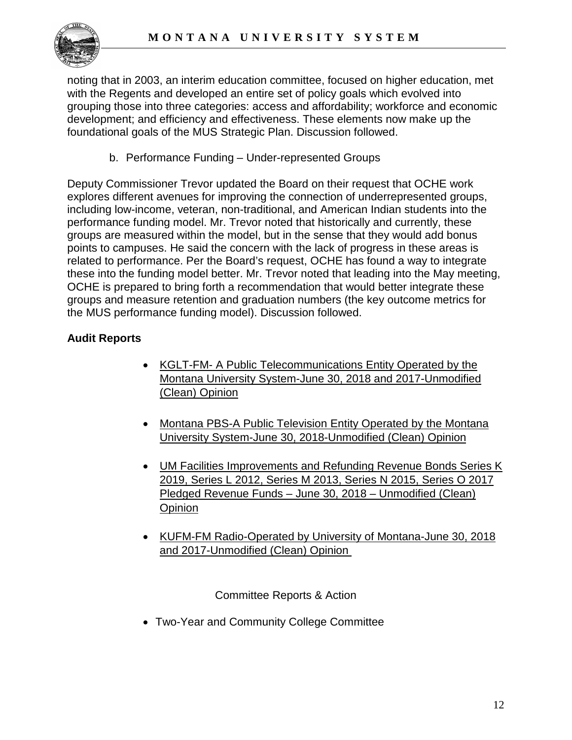

noting that in 2003, an interim education committee, focused on higher education, met with the Regents and developed an entire set of policy goals which evolved into grouping those into three categories: access and affordability; workforce and economic development; and efficiency and effectiveness. These elements now make up the foundational goals of the MUS Strategic Plan. Discussion followed.

b. Performance Funding – Under-represented Groups

Deputy Commissioner Trevor updated the Board on their request that OCHE work explores different avenues for improving the connection of underrepresented groups, including low-income, veteran, non-traditional, and American Indian students into the performance funding model. Mr. Trevor noted that historically and currently, these groups are measured within the model, but in the sense that they would add bonus points to campuses. He said the concern with the lack of progress in these areas is related to performance. Per the Board's request, OCHE has found a way to integrate these into the funding model better. Mr. Trevor noted that leading into the May meeting, OCHE is prepared to bring forth a recommendation that would better integrate these groups and measure retention and graduation numbers (the key outcome metrics for the MUS performance funding model). Discussion followed.

# **Audit Reports**

- KGLT-FM- A Public Telecommunications Entity Operated by the Montana University System-June 30, 2018 and 2017-Unmodified (Clean) Opinion
- Montana PBS-A Public Television Entity Operated by the Montana University System-June 30, 2018-Unmodified (Clean) Opinion
- UM Facilities Improvements and Refunding Revenue Bonds Series K 2019, Series L 2012, Series M 2013, Series N 2015, Series O 2017 Pledged Revenue Funds – June 30, 2018 – Unmodified (Clean) **Opinion**
- KUFM-FM Radio-Operated by University of Montana-June 30, 2018 and 2017-Unmodified (Clean) Opinion

Committee Reports & Action

• Two-Year and Community College Committee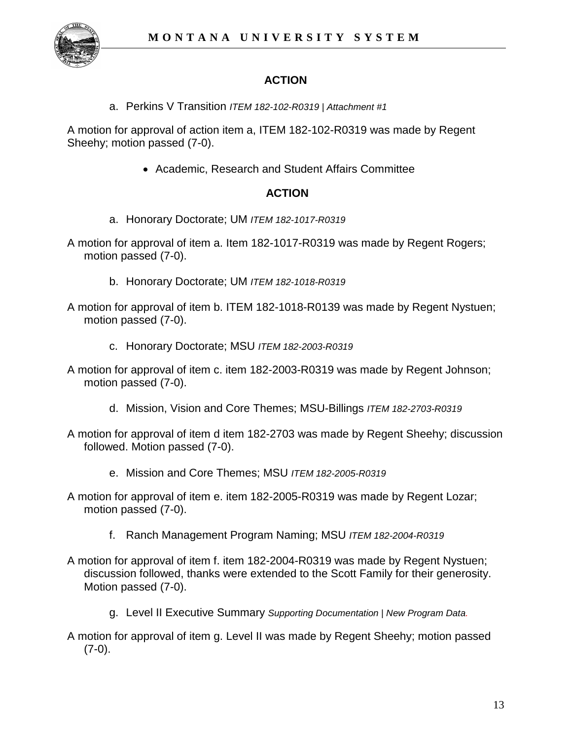

# **ACTION**

a. Perkins V Transition *ITEM 182-102-R0319 | Attachment #1*

A motion for approval of action item a, ITEM 182-102-R0319 was made by Regent Sheehy; motion passed (7-0).

• Academic, Research and Student Affairs Committee

# **ACTION**

- a. Honorary Doctorate; UM *ITEM 182-1017-R0319*
- A motion for approval of item a. Item 182-1017-R0319 was made by Regent Rogers; motion passed (7-0).
	- b. Honorary Doctorate; UM *ITEM 182-1018-R0319*
- A motion for approval of item b. ITEM 182-1018-R0139 was made by Regent Nystuen; motion passed (7-0).
	- c. Honorary Doctorate; MSU *ITEM 182-2003-R0319*
- A motion for approval of item c. item 182-2003-R0319 was made by Regent Johnson; motion passed (7-0).
	- d. Mission, Vision and Core Themes; MSU-Billings *ITEM 182-2703-R0319*
- A motion for approval of item d item 182-2703 was made by Regent Sheehy; discussion followed. Motion passed (7-0).
	- e. Mission and Core Themes; MSU *ITEM 182-2005-R0319*
- A motion for approval of item e. item 182-2005-R0319 was made by Regent Lozar; motion passed (7-0).
	- f. Ranch Management Program Naming; MSU *ITEM 182-2004-R0319*
- A motion for approval of item f. item 182-2004-R0319 was made by Regent Nystuen; discussion followed, thanks were extended to the Scott Family for their generosity. Motion passed (7-0).
	- g. Level II Executive Summary *Supporting Documentation* | *New Program Data.*
- A motion for approval of item g. Level II was made by Regent Sheehy; motion passed  $(7-0).$